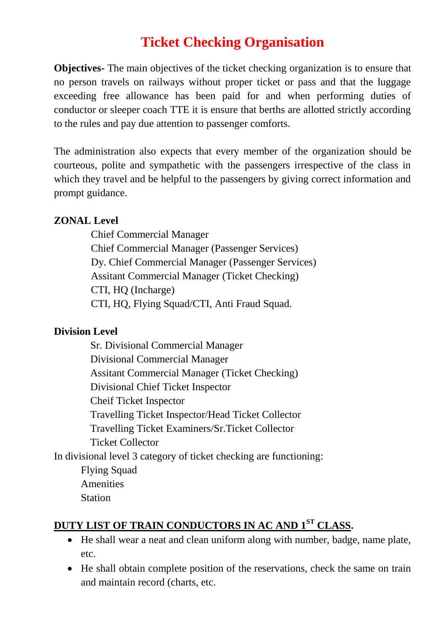# **Ticket Checking Organisation**

**Objectives-** The main objectives of the ticket checking organization is to ensure that no person travels on railways without proper ticket or pass and that the luggage exceeding free allowance has been paid for and when performing duties of conductor or sleeper coach TTE it is ensure that berths are allotted strictly according to the rules and pay due attention to passenger comforts.

The administration also expects that every member of the organization should be courteous, polite and sympathetic with the passengers irrespective of the class in which they travel and be helpful to the passengers by giving correct information and prompt guidance.

#### **ZONAL Level**

Chief Commercial Manager Chief Commercial Manager (Passenger Services) Dy. Chief Commercial Manager (Passenger Services) Assitant Commercial Manager (Ticket Checking) CTI, HQ (Incharge) CTI, HQ, Flying Squad/CTI, Anti Fraud Squad.

#### **Division Level**

Sr. Divisional Commercial Manager Divisional Commercial Manager Assitant Commercial Manager (Ticket Checking) Divisional Chief Ticket Inspector Cheif Ticket Inspector Travelling Ticket Inspector/Head Ticket Collector Travelling Ticket Examiners/Sr.Ticket Collector Ticket Collector In divisional level 3 category of ticket checking are functioning: Flying Squad

Amenities

Station

### **DUTY LIST OF TRAIN CONDUCTORS IN AC AND 1 ST CLASS.**

- He shall wear a neat and clean uniform along with number, badge, name plate, etc.
- He shall obtain complete position of the reservations, check the same on train and maintain record (charts, etc.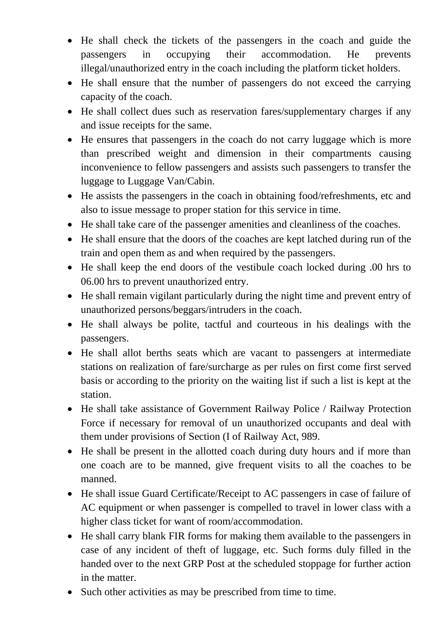- He shall check the tickets of the passengers in the coach and guide the passengers in occupying their accommodation. He prevents illegal/unauthorized entry in the coach including the platform ticket holders.
- He shall ensure that the number of passengers do not exceed the carrying capacity of the coach.
- He shall collect dues such as reservation fares/supplementary charges if any and issue receipts for the same.
- He ensures that passengers in the coach do not carry luggage which is more than prescribed weight and dimension in their compartments causing inconvenience to fellow passengers and assists such passengers to transfer the luggage to Luggage Van/Cabin.
- He assists the passengers in the coach in obtaining food/refreshments, etc and also to issue message to proper station for this service in time.
- He shall take care of the passenger amenities and cleanliness of the coaches.
- He shall ensure that the doors of the coaches are kept latched during run of the train and open them as and when required by the passengers.
- He shall keep the end doors of the vestibule coach locked during .00 hrs to 06.00 hrs to prevent unauthorized entry.
- He shall remain vigilant particularly during the night time and prevent entry of unauthorized persons/beggars/intruders in the coach.
- He shall always be polite, tactful and courteous in his dealings with the passengers.
- He shall allot berths seats which are vacant to passengers at intermediate stations on realization of fare/surcharge as per rules on first come first served basis or according to the priority on the waiting list if such a list is kept at the station.
- He shall take assistance of Government Railway Police / Railway Protection Force if necessary for removal of un unauthorized occupants and deal with them under provisions of Section (I of Railway Act, 989.
- He shall be present in the allotted coach during duty hours and if more than one coach are to be manned, give frequent visits to all the coaches to be manned.
- He shall issue Guard Certificate/Receipt to AC passengers in case of failure of AC equipment or when passenger is compelled to travel in lower class with a higher class ticket for want of room/accommodation.
- He shall carry blank FIR forms for making them available to the passengers in case of any incident of theft of luggage, etc. Such forms duly filled in the handed over to the next GRP Post at the scheduled stoppage for further action in the matter.
- Such other activities as may be prescribed from time to time.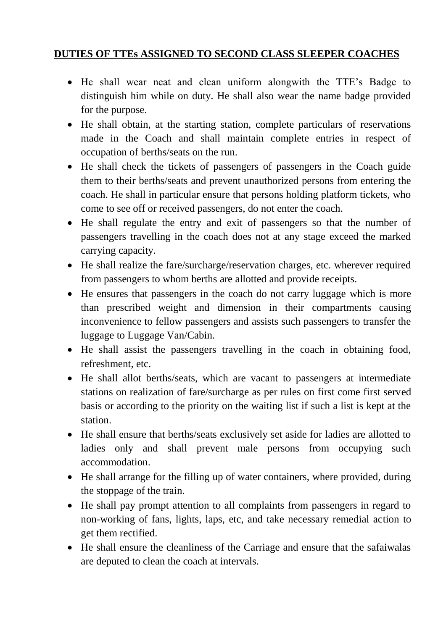#### **DUTIES OF TTEs ASSIGNED TO SECOND CLASS SLEEPER COACHES**

- He shall wear neat and clean uniform alongwith the TTE's Badge to distinguish him while on duty. He shall also wear the name badge provided for the purpose.
- He shall obtain, at the starting station, complete particulars of reservations made in the Coach and shall maintain complete entries in respect of occupation of berths/seats on the run.
- He shall check the tickets of passengers of passengers in the Coach guide them to their berths/seats and prevent unauthorized persons from entering the coach. He shall in particular ensure that persons holding platform tickets, who come to see off or received passengers, do not enter the coach.
- He shall regulate the entry and exit of passengers so that the number of passengers travelling in the coach does not at any stage exceed the marked carrying capacity.
- He shall realize the fare/surcharge/reservation charges, etc. wherever required from passengers to whom berths are allotted and provide receipts.
- He ensures that passengers in the coach do not carry luggage which is more than prescribed weight and dimension in their compartments causing inconvenience to fellow passengers and assists such passengers to transfer the luggage to Luggage Van/Cabin.
- He shall assist the passengers travelling in the coach in obtaining food, refreshment, etc.
- He shall allot berths/seats, which are vacant to passengers at intermediate stations on realization of fare/surcharge as per rules on first come first served basis or according to the priority on the waiting list if such a list is kept at the station.
- He shall ensure that berths/seats exclusively set aside for ladies are allotted to ladies only and shall prevent male persons from occupying such accommodation.
- He shall arrange for the filling up of water containers, where provided, during the stoppage of the train.
- He shall pay prompt attention to all complaints from passengers in regard to non-working of fans, lights, laps, etc, and take necessary remedial action to get them rectified.
- He shall ensure the cleanliness of the Carriage and ensure that the safaiwalas are deputed to clean the coach at intervals.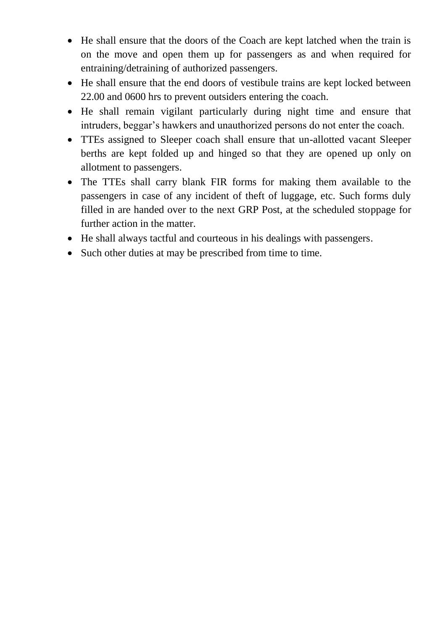- He shall ensure that the doors of the Coach are kept latched when the train is on the move and open them up for passengers as and when required for entraining/detraining of authorized passengers.
- He shall ensure that the end doors of vestibule trains are kept locked between 22.00 and 0600 hrs to prevent outsiders entering the coach.
- He shall remain vigilant particularly during night time and ensure that intruders, beggar's hawkers and unauthorized persons do not enter the coach.
- TTEs assigned to Sleeper coach shall ensure that un-allotted vacant Sleeper berths are kept folded up and hinged so that they are opened up only on allotment to passengers.
- The TTEs shall carry blank FIR forms for making them available to the passengers in case of any incident of theft of luggage, etc. Such forms duly filled in are handed over to the next GRP Post, at the scheduled stoppage for further action in the matter.
- He shall always tactful and courteous in his dealings with passengers.
- Such other duties at may be prescribed from time to time.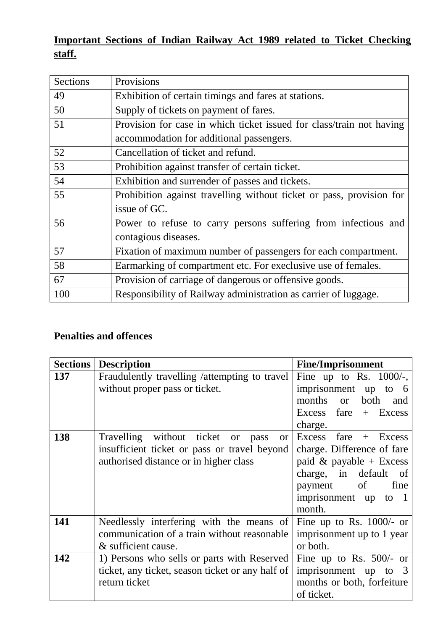## **Important Sections of Indian Railway Act 1989 related to Ticket Checking staff.**

| Sections | Provisions                                                           |  |  |
|----------|----------------------------------------------------------------------|--|--|
| 49       | Exhibition of certain timings and fares at stations.                 |  |  |
| 50       | Supply of tickets on payment of fares.                               |  |  |
| 51       | Provision for case in which ticket issued for class/train not having |  |  |
|          | accommodation for additional passengers.                             |  |  |
| 52       | Cancellation of ticket and refund.                                   |  |  |
| 53       | Prohibition against transfer of certain ticket.                      |  |  |
| 54       | Exhibition and surrender of passes and tickets.                      |  |  |
| 55       | Prohibition against travelling without ticket or pass, provision for |  |  |
|          | issue of GC.                                                         |  |  |
| 56       | Power to refuse to carry persons suffering from infectious and       |  |  |
|          | contagious diseases.                                                 |  |  |
| 57       | Fixation of maximum number of passengers for each compartment.       |  |  |
| 58       | Earmarking of compartment etc. For execlusive use of females.        |  |  |
| 67       | Provision of carriage of dangerous or offensive goods.               |  |  |
| 100      | Responsibility of Railway administration as carrier of luggage.      |  |  |

## **Penalties and offences**

| <b>Sections</b> | <b>Description</b>                                | <b>Fine/Imprisonment</b>   |
|-----------------|---------------------------------------------------|----------------------------|
| 137             | Fraudulently travelling /attempting to travel     | Fine up to Rs. $1000/$ -,  |
|                 | without proper pass or ticket.                    | imprisonment up to 6       |
|                 |                                                   | months or<br>both<br>and   |
|                 |                                                   | $Excess$ fare + Excess     |
|                 |                                                   | charge.                    |
| 138             | Travelling without ticket or<br>pass<br><b>or</b> | Excess fare $+$ Excess     |
|                 | insufficient ticket or pass or travel beyond      | charge. Difference of fare |
|                 | authorised distance or in higher class            | paid & payable + Excess    |
|                 |                                                   | charge, in default of      |
|                 |                                                   | payment of<br>fine         |
|                 |                                                   | imprisonment up to 1       |
|                 |                                                   | month.                     |
| 141             | Needlessly interfering with the means of          | Fine up to Rs. $1000/-$ or |
|                 | communication of a train without reasonable       | imprisonment up to 1 year  |
|                 | & sufficient cause.                               | or both.                   |
| 142             | 1) Persons who sells or parts with Reserved       | Fine up to Rs. $500/-$ or  |
|                 | ticket, any ticket, season ticket or any half of  | imprisonment up to 3       |
|                 | return ticket                                     | months or both, forfeiture |
|                 |                                                   | of ticket.                 |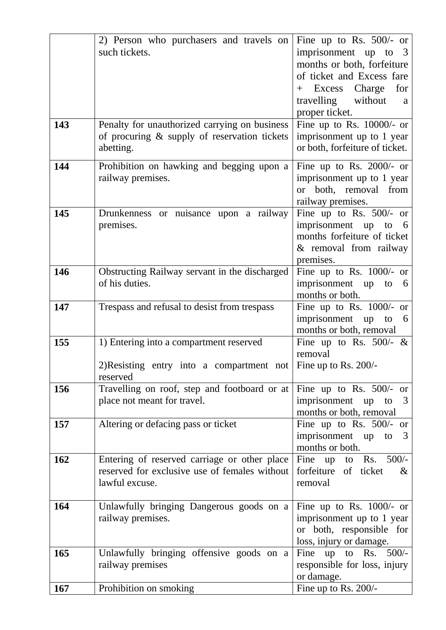|     | 2) Person who purchasers and travels on       | Fine up to Rs. $500/-$ or                             |
|-----|-----------------------------------------------|-------------------------------------------------------|
|     | such tickets.                                 | imprisonment up to<br>3                               |
|     |                                               | months or both, forfeiture                            |
|     |                                               | of ticket and Excess fare                             |
|     |                                               | Excess Charge<br>for<br>$+$                           |
|     |                                               | travelling without<br>a                               |
|     |                                               | proper ticket.                                        |
| 143 | Penalty for unauthorized carrying on business | Fine up to Rs. $10000/-$ or                           |
|     | of procuring & supply of reservation tickets  | imprisonment up to 1 year                             |
|     | abetting.                                     | or both, forfeiture of ticket.                        |
| 144 | Prohibition on hawking and begging upon a     | Fine up to Rs. $2000/-$ or                            |
|     | railway premises.                             | imprisonment up to 1 year                             |
|     |                                               | or both, removal from                                 |
|     |                                               | railway premises.                                     |
| 145 | Drunkenness or nuisance upon a railway        | Fine up to Rs. $500/-$ or                             |
|     | premises.                                     | imprisonment up to 6                                  |
|     |                                               | months forfeiture of ticket                           |
|     |                                               | & removal from railway                                |
|     |                                               | premises.                                             |
| 146 | Obstructing Railway servant in the discharged | Fine up to Rs. $1000/-$ or                            |
|     | of his duties.                                | imprisonment up to<br>-6                              |
|     |                                               | months or both.                                       |
| 147 | Trespass and refusal to desist from trespass  | Fine up to Rs. 1000/- or                              |
|     |                                               | imprisonment up to<br>$6\overline{6}$                 |
|     |                                               | months or both, removal                               |
| 155 | 1) Entering into a compartment reserved       | Fine up to Rs. 500/- $\&$                             |
|     |                                               | removal                                               |
|     | 2)Resisting entry into a compartment not      | Fine up to Rs. 200/-                                  |
|     | reserved                                      |                                                       |
| 156 | Travelling on roof, step and footboard or at  | Fine up to Rs. $500/-$ or                             |
|     | place not meant for travel.                   | imprisonment up<br>3<br>to<br>months or both, removal |
| 157 |                                               | Fine up to Rs. $500/-$ or                             |
|     | Altering or defacing pass or ticket           | imprisonment up to<br>3                               |
|     |                                               | months or both.                                       |
| 162 | Entering of reserved carriage or other place  | Fine up to Rs. $500/-$                                |
|     | reserved for exclusive use of females without | forfeiture of ticket<br>$\&$                          |
|     | lawful excuse.                                | removal                                               |
|     |                                               |                                                       |
| 164 | Unlawfully bringing Dangerous goods on a      | Fine up to Rs. $1000/-$ or                            |
|     | railway premises.                             | imprisonment up to 1 year                             |
|     |                                               | or both, responsible for                              |
|     |                                               | loss, injury or damage.                               |
| 165 | Unlawfully bringing offensive goods on a      | Fine up to Rs. $500/-$                                |
|     | railway premises                              | responsible for loss, injury                          |
|     |                                               | or damage.                                            |
| 167 | Prohibition on smoking                        | Fine up to Rs. 200/-                                  |